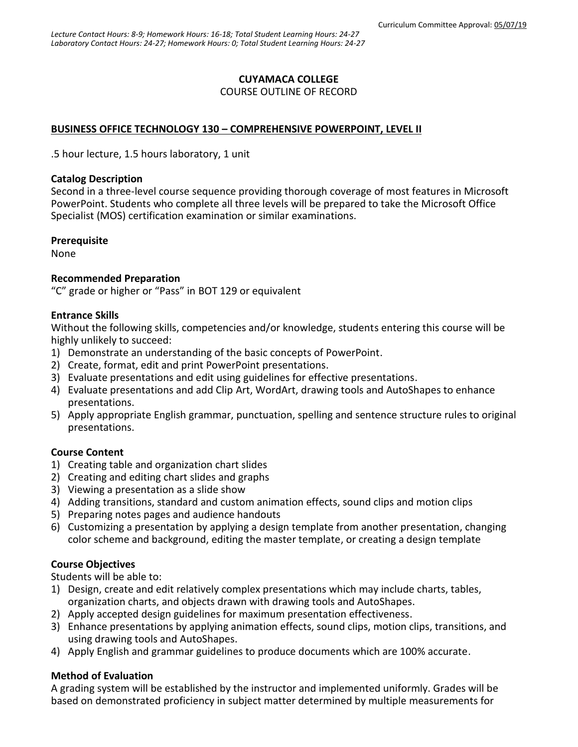# **CUYAMACA COLLEGE**

#### COURSE OUTLINE OF RECORD

# **BUSINESS OFFICE TECHNOLOGY 130 – COMPREHENSIVE POWERPOINT, LEVEL II**

.5 hour lecture, 1.5 hours laboratory, 1 unit

#### **Catalog Description**

Second in a three-level course sequence providing thorough coverage of most features in Microsoft PowerPoint. Students who complete all three levels will be prepared to take the Microsoft Office Specialist (MOS) certification examination or similar examinations.

## **Prerequisite**

None

## **Recommended Preparation**

"C" grade or higher or "Pass" in BOT 129 or equivalent

## **Entrance Skills**

Without the following skills, competencies and/or knowledge, students entering this course will be highly unlikely to succeed:

- 1) Demonstrate an understanding of the basic concepts of PowerPoint.
- 2) Create, format, edit and print PowerPoint presentations.
- 3) Evaluate presentations and edit using guidelines for effective presentations.
- 4) Evaluate presentations and add Clip Art, WordArt, drawing tools and AutoShapes to enhance presentations.
- 5) Apply appropriate English grammar, punctuation, spelling and sentence structure rules to original presentations.

## **Course Content**

- 1) Creating table and organization chart slides
- 2) Creating and editing chart slides and graphs
- 3) Viewing a presentation as a slide show
- 4) Adding transitions, standard and custom animation effects, sound clips and motion clips
- 5) Preparing notes pages and audience handouts
- 6) Customizing a presentation by applying a design template from another presentation, changing color scheme and background, editing the master template, or creating a design template

## **Course Objectives**

Students will be able to:

- 1) Design, create and edit relatively complex presentations which may include charts, tables, organization charts, and objects drawn with drawing tools and AutoShapes.
- 2) Apply accepted design guidelines for maximum presentation effectiveness.
- 3) Enhance presentations by applying animation effects, sound clips, motion clips, transitions, and using drawing tools and AutoShapes.
- 4) Apply English and grammar guidelines to produce documents which are 100% accurate.

## **Method of Evaluation**

A grading system will be established by the instructor and implemented uniformly. Grades will be based on demonstrated proficiency in subject matter determined by multiple measurements for